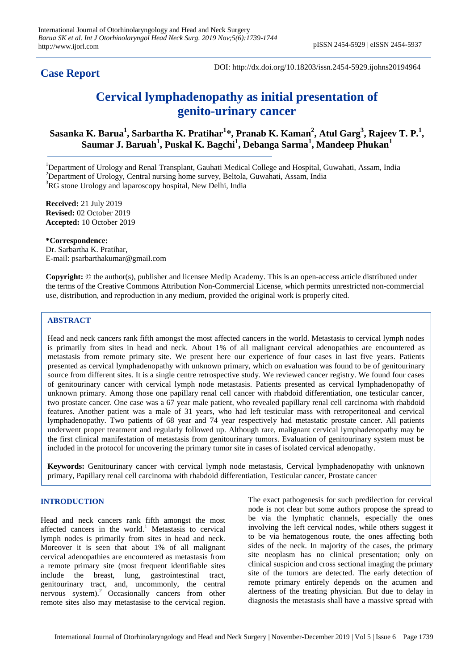## **Case Report**

DOI: http://dx.doi.org/10.18203/issn.2454-5929.ijohns20194964

# **Cervical lymphadenopathy as initial presentation of genito-urinary cancer**

 $\boldsymbol{\mathrm{S}}$ asanka K. Barua $^{1}$ , Sarbartha K. Pratihar $^{1*}$ , Pranab K. Kaman $^{2}$ , Atul Garg $^{3}$ , Rajeev T. P. $^{1}$ , **Saumar J. Baruah<sup>1</sup> , Puskal K. Bagchi<sup>1</sup> , Debanga Sarma<sup>1</sup> , Mandeep Phukan<sup>1</sup>**

<sup>1</sup>Department of Urology and Renal Transplant, Gauhati Medical College and Hospital, Guwahati, Assam, India  $2$ Department of Urology, Central nursing home survey, Beltola, Guwahati, Assam, India  ${}^{3}$ RG stone Urology and laparoscopy hospital, New Delhi, India

**Received:** 21 July 2019 **Revised:** 02 October 2019 **Accepted:** 10 October 2019

**\*Correspondence:** Dr. Sarbartha K. Pratihar, E-mail: psarbarthakumar@gmail.com

**Copyright:** © the author(s), publisher and licensee Medip Academy. This is an open-access article distributed under the terms of the Creative Commons Attribution Non-Commercial License, which permits unrestricted non-commercial use, distribution, and reproduction in any medium, provided the original work is properly cited.

### **ABSTRACT**

Head and neck cancers rank fifth amongst the most affected cancers in the world. Metastasis to cervical lymph nodes is primarily from sites in head and neck. About 1% of all malignant cervical adenopathies are encountered as metastasis from remote primary site. We present here our experience of four cases in last five years. Patients presented as cervical lymphadenopathy with unknown primary, which on evaluation was found to be of genitourinary source from different sites. It is a single centre retrospective study. We reviewed cancer registry. We found four cases of genitourinary cancer with cervical lymph node metastasis. Patients presented as cervical lymphadenopathy of unknown primary. Among those one papillary renal cell cancer with rhabdoid differentiation, one testicular cancer, two prostate cancer. One case was a 67 year male patient, who revealed papillary renal cell carcinoma with rhabdoid features. Another patient was a male of 31 years, who had left testicular mass with retroperitoneal and cervical lymphadenopathy. Two patients of 68 year and 74 year respectively had metastatic prostate cancer. All patients underwent proper treatment and regularly followed up. Although rare, malignant cervical lymphadenopathy may be the first clinical manifestation of metastasis from genitourinary tumors. Evaluation of genitourinary system must be included in the protocol for uncovering the primary tumor site in cases of isolated cervical adenopathy.

**Keywords:** Genitourinary cancer with cervical lymph node metastasis, Cervical lymphadenopathy with unknown primary, Papillary renal cell carcinoma with rhabdoid differentiation, Testicular cancer, Prostate cancer

#### **INTRODUCTION**

Head and neck cancers rank fifth amongst the most affected cancers in the world.<sup>1</sup> Metastasis to cervical lymph nodes is primarily from sites in head and neck. Moreover it is seen that about 1% of all malignant cervical adenopathies are encountered as metastasis from a remote primary site (most frequent identifiable sites include the breast, lung, gastrointestinal tract, genitourinary tract, and, uncommonly, the central nervous system). <sup>2</sup> Occasionally cancers from other remote sites also may metastasise to the cervical region.

The exact pathogenesis for such predilection for cervical node is not clear but some authors propose the spread to be via the lymphatic channels, especially the ones involving the left cervical nodes, while others suggest it to be via hematogenous route, the ones affecting both sides of the neck. In majority of the cases, the primary site neoplasm has no clinical presentation; only on clinical suspicion and cross sectional imaging the primary site of the tumors are detected. The early detection of remote primary entirely depends on the acumen and alertness of the treating physician. But due to delay in diagnosis the metastasis shall have a massive spread with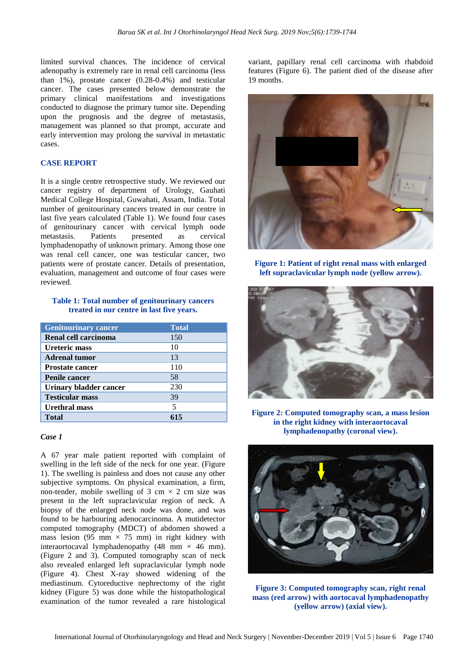limited survival chances. The incidence of cervical adenopathy is extremely rare in renal cell carcinoma (less than 1%), prostate cancer (0.28-0.4%) and testicular cancer. The cases presented below demonstrate the primary clinical manifestations and investigations conducted to diagnose the primary tumor site. Depending upon the prognosis and the degree of metastasis, management was planned so that prompt, accurate and early intervention may prolong the survival in metastatic cases.

#### **CASE REPORT**

It is a single centre retrospective study. We reviewed our cancer registry of department of Urology, Gauhati Medical College Hospital, Guwahati, Assam, India. Total number of genitourinary cancers treated in our centre in last five years calculated (Table 1). We found four cases of genitourinary cancer with cervical lymph node metastasis. Patients presented as cervical lymphadenopathy of unknown primary. Among those one was renal cell cancer, one was testicular cancer, two patients were of prostate cancer. Details of presentation, evaluation, management and outcome of four cases were reviewed.

#### **Table 1: Total number of genitourinary cancers treated in our centre in last five years.**

| <b>Genitourinary cancer</b> | <b>Total</b> |
|-----------------------------|--------------|
| Renal cell carcinoma        | 150          |
| <b>Ureteric mass</b>        | 10           |
| <b>Adrenal tumor</b>        | 13           |
| <b>Prostate cancer</b>      | 110          |
| <b>Penile cancer</b>        | 58           |
| Urinary bladder cancer      | 230          |
| <b>Testicular mass</b>      | 39           |
| Urethral mass               | 5            |
| <b>Total</b>                |              |

#### *Case 1*

A 67 year male patient reported with complaint of swelling in the left side of the neck for one year. (Figure 1). The swelling is painless and does not cause any other subjective symptoms. On physical examination, a firm, non-tender, mobile swelling of 3 cm  $\times$  2 cm size was present in the left supraclavicular region of neck. A biopsy of the enlarged neck node was done, and was found to be harbouring adenocarcinoma. A mutidetector computed tomography (MDCT) of abdomen showed a mass lesion (95 mm  $\times$  75 mm) in right kidney with interaortocaval lymphadenopathy (48 mm  $\times$  46 mm). (Figure 2 and 3). Computed tomography scan of neck also revealed enlarged left supraclavicular lymph node (Figure 4). Chest X-ray showed widening of the mediastinum. Cytoreductive nephrectomy of the right kidney (Figure 5) was done while the histopathological examination of the tumor revealed a rare histological variant, papillary renal cell carcinoma with rhabdoid features (Figure 6). The patient died of the disease after 19 months.



**Figure 1: Patient of right renal mass with enlarged left supraclavicular lymph node (yellow arrow).**



**Figure 2: Computed tomography scan, a mass lesion in the right kidney with interaortocaval lymphadenopathy (coronal view).**



**Figure 3: Computed tomography scan, right renal mass (red arrow) with aortocaval lymphadenopathy (yellow arrow) (axial view).**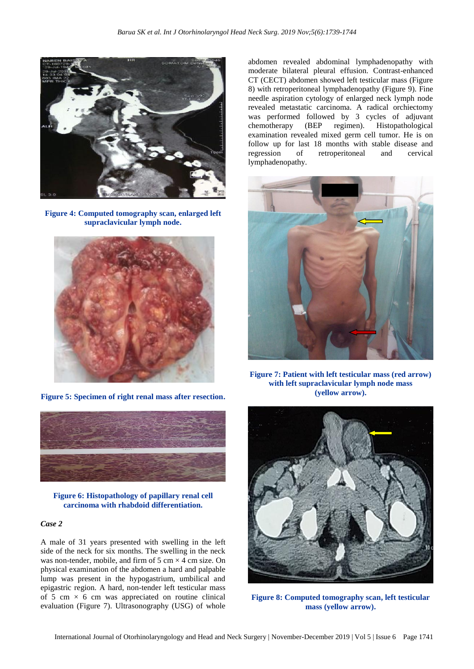

**Figure 4: Computed tomography scan, enlarged left supraclavicular lymph node.**



**Figure 5: Specimen of right renal mass after resection.**



**Figure 6: Histopathology of papillary renal cell carcinoma with rhabdoid differentiation.**

#### *Case 2*

A male of 31 years presented with swelling in the left side of the neck for six months. The swelling in the neck was non-tender, mobile, and firm of 5 cm  $\times$  4 cm size. On physical examination of the abdomen a hard and palpable lump was present in the hypogastrium, umbilical and epigastric region. A hard, non-tender left testicular mass of 5 cm  $\times$  6 cm was appreciated on routine clinical evaluation (Figure 7). Ultrasonography (USG) of whole

abdomen revealed abdominal lymphadenopathy with moderate bilateral pleural effusion. Contrast-enhanced CT (CECT) abdomen showed left testicular mass (Figure 8) with retroperitoneal lymphadenopathy (Figure 9). Fine needle aspiration cytology of enlarged neck lymph node revealed metastatic carcinoma. A radical orchiectomy was performed followed by 3 cycles of adjuvant chemotherapy (BEP regimen). Histopathological examination revealed mixed germ cell tumor. He is on follow up for last 18 months with stable disease and regression of retroperitoneal and cervical lymphadenopathy.



**Figure 7: Patient with left testicular mass (red arrow) with left supraclavicular lymph node mass (yellow arrow).**



**Figure 8: Computed tomography scan, left testicular mass (yellow arrow).**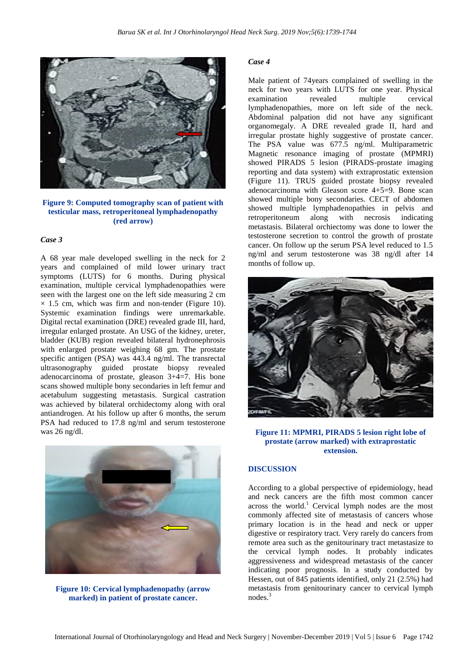

**Figure 9: Computed tomography scan of patient with testicular mass, retroperitoneal lymphadenopathy (red arrow)**

#### *Case 3*

A 68 year male developed swelling in the neck for 2 years and complained of mild lower urinary tract symptoms (LUTS) for 6 months. During physical examination, multiple cervical lymphadenopathies were seen with the largest one on the left side measuring 2 cm  $\times$  1.5 cm, which was firm and non-tender (Figure 10). Systemic examination findings were unremarkable. Digital rectal examination (DRE) revealed grade III, hard, irregular enlarged prostate. An USG of the kidney, ureter, bladder (KUB) region revealed bilateral hydronephrosis with enlarged prostate weighing 68 gm. The prostate specific antigen (PSA) was 443.4 ng/ml. The transrectal ultrasonography guided prostate biopsy revealed adenocarcinoma of prostate, gleason 3+4=7. His bone scans showed multiple bony secondaries in left femur and acetabulum suggesting metastasis. Surgical castration was achieved by bilateral orchidectomy along with oral antiandrogen. At his follow up after 6 months, the serum PSA had reduced to 17.8 ng/ml and serum testosterone was 26 ng/dl.



**Figure 10: Cervical lymphadenopathy (arrow marked) in patient of prostate cancer.**

#### *Case 4*

Male patient of 74years complained of swelling in the neck for two years with LUTS for one year. Physical examination revealed multiple cervical lymphadenopathies, more on left side of the neck. Abdominal palpation did not have any significant organomegaly. A DRE revealed grade II, hard and irregular prostate highly suggestive of prostate cancer. The PSA value was 677.5 ng/ml. Multiparametric Magnetic resonance imaging of prostate (MPMRI) showed PIRADS 5 lesion (PIRADS-prostate imaging reporting and data system) with extraprostatic extension (Figure 11). TRUS guided prostate biopsy revealed adenocarcinoma with Gleason score 4+5=9. Bone scan showed multiple bony secondaries. CECT of abdomen showed multiple lymphadenopathies in pelvis and retroperitoneum along with necrosis indicating metastasis. Bilateral orchiectomy was done to lower the testosterone secretion to control the growth of prostate cancer. On follow up the serum PSA level reduced to 1.5 ng/ml and serum testosterone was 38 ng/dl after 14 months of follow up.



**Figure 11: MPMRI, PIRADS 5 lesion right lobe of prostate (arrow marked) with extraprostatic extension.**

#### **DISCUSSION**

According to a global perspective of epidemiology, head and neck cancers are the fifth most common cancer across the world. <sup>1</sup> Cervical lymph nodes are the most commonly affected site of metastasis of cancers whose primary location is in the head and neck or upper digestive or respiratory tract. Very rarely do cancers from remote area such as the genitourinary tract metastasize to the cervical lymph nodes. It probably indicates aggressiveness and widespread metastasis of the cancer indicating poor prognosis. In a study conducted by Hessen, out of 845 patients identified, only 21 (2.5%) had metastasis from genitourinary cancer to cervical lymph nodes. 3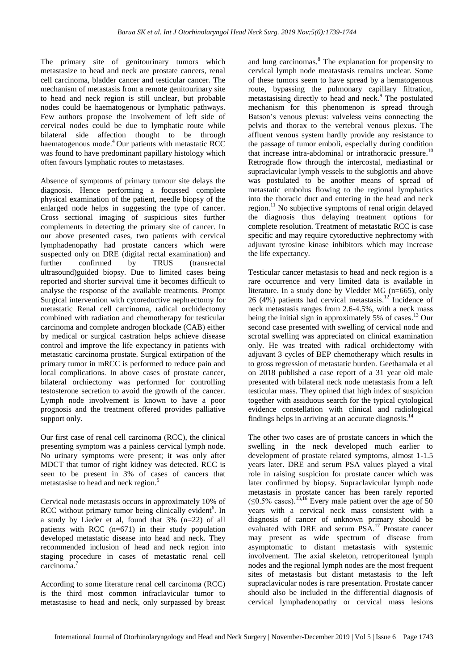The primary site of genitourinary tumors which metastasize to head and neck are prostate cancers, renal cell carcinoma, bladder cancer and testicular cancer. The mechanism of metastasis from a remote genitourinary site to head and neck region is still unclear, but probable nodes could be haematogenous or lymphatic pathways. Few authors propose the involvement of left side of cervical nodes could be due to lymphatic route while bilateral side affection thought to be through haematogenous mode. <sup>4</sup> Our patients with metastatic RCC was found to have predominant papillary histology which often favours lymphatic routes to metastases.

Absence of symptoms of primary tumour site delays the diagnosis. Hence performing a focussed complete physical examination of the patient, needle biopsy of the enlarged node helps in suggesting the type of cancer. Cross sectional imaging of suspicious sites further complements in detecting the primary site of cancer. In our above presented cases, two patients with cervical lymphadenopathy had prostate cancers which were suspected only on DRE (digital rectal examination) and further confirmed by TRUS (transrectal ultrasound)guided biopsy. Due to limited cases being reported and shorter survival time it becomes difficult to analyse the response of the available treatments. Prompt Surgical intervention with cytoreductive nephrectomy for metastatic Renal cell carcinoma, radical orchidectomy combined with radiation and chemotherapy for testicular carcinoma and complete androgen blockade (CAB) either by medical or surgical castration helps achieve disease control and improve the life expectancy in patients with metastatic carcinoma prostate. Surgical extirpation of the primary tumor in mRCC is performed to reduce pain and local complications. In above cases of prostate cancer, bilateral orchiectomy was performed for controlling testosterone secretion to avoid the growth of the cancer. Lymph node involvement is known to have a poor prognosis and the treatment offered provides palliative support only.

Our first case of renal cell carcinoma (RCC), the clinical presenting symptom was a painless cervical lymph node. No urinary symptoms were present; it was only after MDCT that tumor of right kidney was detected. RCC is seen to be present in 3% of cases of cancers that metastasise to head and neck region. 5

Cervical node metastasis occurs in approximately 10% of RCC without primary tumor being clinically evident<sup>6</sup>. In a study by Lieder et al, found that 3% (n=22) of all patients with RCC (n=671) in their study population developed metastatic disease into head and neck. They recommended inclusion of head and neck region into staging procedure in cases of metastatic renal cell carcinoma. 7

According to some literature renal cell carcinoma (RCC) is the third most common infraclavicular tumor to metastasise to head and neck, only surpassed by breast

and lung carcinomas. <sup>8</sup> The explanation for propensity to cervical lymph node meatastasis remains unclear. Some of these tumors seem to have spread by a hematogenous route, bypassing the pulmonary capillary filtration, metastasising directly to head and neck. <sup>9</sup> The postulated mechanism for this phenomenon is spread through Batson's venous plexus: valveless veins connecting the pelvis and thorax to the vertebral venous plexus. The affluent venous system hardly provide any resistance to the passage of tumor emboli, especially during condition that increase intra-abdominal or intrathoracic pressure. 10 Retrograde flow through the intercostal, mediastinal or supraclavicular lymph vessels to the subglottis and above was postulated to be another means of spread of metastatic embolus flowing to the regional lymphatics into the thoracic duct and entering in the head and neck region. <sup>11</sup> No subjective symptoms of renal origin delayed the diagnosis thus delaying treatment options for complete resolution. Treatment of metastatic RCC is case specific and may require cytoreductive nephrectomy with adjuvant tyrosine kinase inhibitors which may increase the life expectancy.

Testicular cancer metastasis to head and neck region is a rare occurrence and very limited data is available in literature. In a study done by Vledder MG (n=665), only 26 (4%) patients had cervical metastasis. <sup>12</sup> Incidence of neck metastasis ranges from 2.6-4.5%, with a neck mass being the initial sign in approximately 5% of cases.<sup>13</sup> Our second case presented with swelling of cervical node and scrotal swelling was appreciated on clinical examination only. He was treated with radical orchidectomy with adjuvant 3 cycles of BEP chemotherapy which results in to gross regression of metastatic burden. Geethamala et al on 2018 published a case report of a 31 year old male presented with bilateral neck node metastasis from a left testicular mass. They opined that high index of suspicion together with assiduous search for the typical cytological evidence constellation with clinical and radiological findings helps in arriving at an accurate diagnosis.<sup>14</sup>

The other two cases are of prostate cancers in which the swelling in the neck developed much earlier to development of prostate related symptoms, almost 1-1.5 years later. DRE and serum PSA values played a vital role in raising suspicion for prostate cancer which was later confirmed by biopsy. Supraclavicular lymph node metastasis in prostate cancer has been rarely reported  $( \le 0.5\%$  cases).<sup>15,16</sup> Every male patient over the age of 50 years with a cervical neck mass consistent with a diagnosis of cancer of unknown primary should be evaluated with DRE and serum PSA. <sup>17</sup> Prostate cancer may present as wide spectrum of disease from asymptomatic to distant metastasis with systemic involvement. The axial skeleton, retroperitoneal lymph nodes and the regional lymph nodes are the most frequent sites of metastasis but distant metastasis to the left supraclavicular nodes is rare presentation. Prostate cancer should also be included in the differential diagnosis of cervical lymphadenopathy or cervical mass lesions